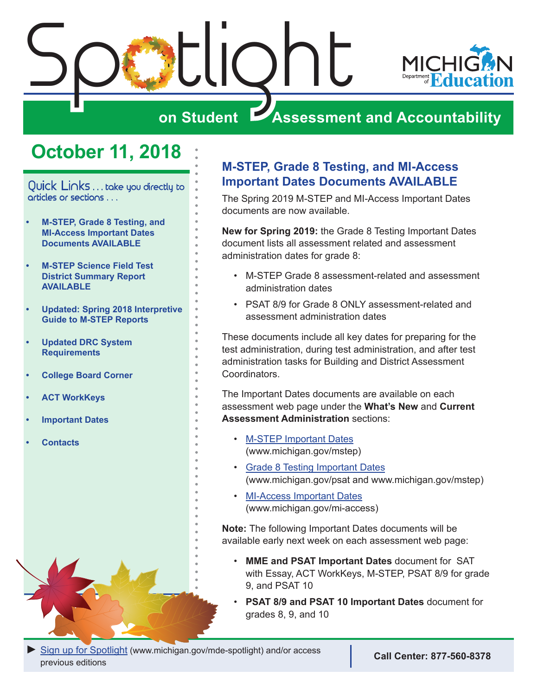<span id="page-0-0"></span>

# **on Student Assessment and Accountability**

# **October 11, 2018**

Quick Links . . . take you directly to articles or sections . . .

- **• M-STEP, Grade 8 Testing, and MI-Access Important Dates Documents AVAILABLE**
- **• [M-STEP Science Field Test](#page-1-0)  [District Summary Report](#page-1-0)  [AVAILABLE](#page-1-0)**
- **• [Updated: Spring 2018 Interpretive](#page-1-0)  [Guide to M-STEP Reports](#page-1-0)**
- **• [Updated DRC System](#page-1-0)  [Requirements](#page-1-0)**
- **• [College Board Corner](#page-2-0)**
- **• [ACT WorkKeys](#page-4-0)**
- **• [Important Dates](#page-5-0)**
- **• [Contacts](#page-6-0)**

### **M-STEP, Grade 8 Testing, and MI-Access Important Dates Documents AVAILABLE**

The Spring 2019 M-STEP and MI-Access Important Dates documents are now available.

**New for Spring 2019:** the Grade 8 Testing Important Dates document lists all assessment related and assessment administration dates for grade 8:

- M-STEP Grade 8 assessment-related and assessment administration dates
- PSAT 8/9 for Grade 8 ONLY assessment-related and assessment administration dates

These documents include all key dates for preparing for the test administration, during test administration, and after test administration tasks for Building and District Assessment Coordinators.

The Important Dates documents are available on each assessment web page under the **What's New** and **Current Assessment Administration** sections:

- [M-STEP Important Dates](https://www.michigan.gov/documents/mde/M-STEP_List_of_Important_Dates_634788_7.pdf) (www.michigan.gov/mstep)
- [Grade 8 Testing Important Dates](https://www.michigan.gov/documents/mde/Grade_8_List_of_Important_Dates_634813_7.pdf) (www.michigan.gov/psat and www.michigan.gov/mstep)
- [MI-Access Important Dates](https://www.michigan.gov/documents/mde/MI-Access_List_of_Important_Dates_634789_7.pdf) (www.michigan.gov/mi-access)

**Note:** The following Important Dates documents will be available early next week on each assessment web page:

- **MME and PSAT Important Dates** document for SAT with Essay, ACT WorkKeys, M-STEP, PSAT 8/9 for grade 9, and PSAT 10
- **PSAT 8/9 and PSAT 10 Important Dates** document for grades 8, 9, and 10

**[Sign up for Spotlight](https://public.govdelivery.com/accounts/MIMDE/subscriber/new) [\(www.michigan.gov/mde](www.michigan.gov/mde-spotlight)-spotlight) and/or access** previous editions **Call Center: 877-560-8378**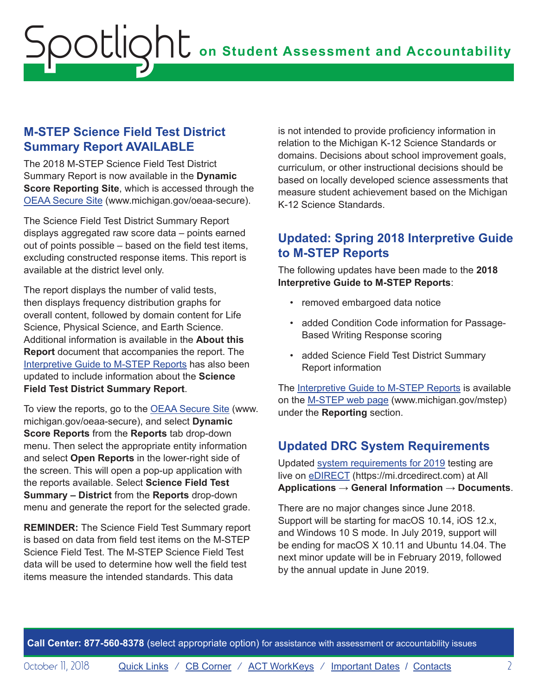#### <span id="page-1-0"></span>**M-STEP Science Field Test District Summary Report AVAILABLE**

The 2018 M-STEP Science Field Test District Summary Report is now available in the **Dynamic Score Reporting Site**, which is accessed through the [OEAA Secure Site](http://www.michigan.gov/oeaa-secure) (www.michigan.gov/oeaa-secure).

The Science Field Test District Summary Report displays aggregated raw score data – points earned out of points possible – based on the field test items, excluding constructed response items. This report is available at the district level only.

The report displays the number of valid tests, then displays frequency distribution graphs for overall content, followed by domain content for Life Science, Physical Science, and Earth Science. Additional information is available in the **About this Report** document that accompanies the report. The [Interpretive Guide to M-STEP Reports](https://www.michigan.gov/documents/mde/M-STEP_GTR_629556_7.pdf) has also been updated to include information about the **Science Field Test District Summary Report**.

To view the reports, go to the [OEAA Secure Site](http://www.michigan.gov/oeaa-secure) (www. michigan.gov/oeaa-secure), and select **Dynamic Score Reports** from the **Reports** tab drop-down menu. Then select the appropriate entity information and select **Open Reports** in the lower-right side of the screen. This will open a pop-up application with the reports available. Select **Science Field Test Summary – District** from the **Reports** drop-down menu and generate the report for the selected grade.

**REMINDER:** The Science Field Test Summary report is based on data from field test items on the M-STEP Science Field Test. The M-STEP Science Field Test data will be used to determine how well the field test items measure the intended standards. This data

is not intended to provide proficiency information in relation to the Michigan K-12 Science Standards or domains. Decisions about school improvement goals, curriculum, or other instructional decisions should be based on locally developed science assessments that measure student achievement based on the Michigan K-12 Science Standards.

#### **Updated: Spring 2018 Interpretive Guide to M-STEP Reports**

The following updates have been made to the **2018 Interpretive Guide to M-STEP Reports**:

- removed embargoed data notice
- added Condition Code information for Passage-Based Writing Response scoring
- added Science Field Test District Summary Report information

The [Interpretive Guide to M-STEP Reports](https://www.michigan.gov/documents/mde/M-STEP_GTR_629556_7.pdf) is available on the [M-STEP web page](www.michigan.gov/mstep) (www.michigan.gov/mstep) under the **Reporting** section.

### **Updated DRC System Requirements**

Updated [system requirements for 2019](https://mi.drcedirect.com/default.aspx?leapp=General+Information) testing are live on [eDIRECT](https://mi.drcedirect.com) (https://mi.drcedirect.com) at All **Applications** → **General Information** → **Documents**.

There are no major changes since June 2018. Support will be starting for macOS 10.14, iOS 12.x, and Windows 10 S mode. In July 2019, support will be ending for macOS X 10.11 and Ubuntu 14.04. The next minor update will be in February 2019, followed by the annual update in June 2019.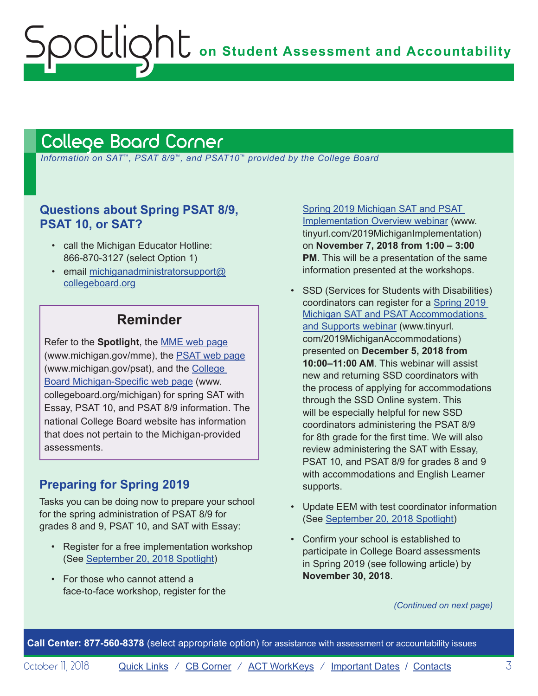# <span id="page-2-1"></span>College Board Corner

<span id="page-2-0"></span>Spotlight

 *Information on SAT*™*, PSAT 8/9*™*, and PSAT10*™ *provided by the College Board*

#### **Questions about Spring PSAT 8/9, PSAT 10, or SAT?**

- call the Michigan Educator Hotline: 866-870-3127 (select Option 1)
- email [michiganadministratorsupport@](mailto:michiganadministratorsupport%40collegeboard.org?subject=) [collegeboard.org](mailto:michiganadministratorsupport%40collegeboard.org?subject=)

### **Reminder**

Refer to the **Spotlight**, the [MME web page](www.michigan.gov/mme) (www.michigan.gov/mme), the [PSAT web page](http://www.michigan.gov/psat) (www.michigan.gov/psat), and the [College](http://www.collegeboard.org/michigan)  [Board Michigan-Specific web page](http://www.collegeboard.org/michigan) (www. collegeboard.org/michigan) for spring SAT with Essay, PSAT 10, and PSAT 8/9 information. The national College Board website has information that does not pertain to the Michigan-provided assessments.

#### **Preparing for Spring 2019**

Tasks you can be doing now to prepare your school for the spring administration of PSAT 8/9 for grades 8 and 9, PSAT 10, and SAT with Essay:

- Register for a free implementation workshop (See [September 20, 2018 Spotlight\)](https://www.michigan.gov/documents/mde/Spotlight_9-20-18_633930_7.pdf)
- For those who cannot attend a face-to-face workshop, register for the

[Spring 2019 Michigan SAT and PSAT](http://www.tinyurl.com/2019MichiganImplementation)  [Implementation Overview webinar](http://www.tinyurl.com/2019MichiganImplementation) (www. tinyurl.com/2019MichiganImplementation) on **November 7, 2018 from 1:00 – 3:00 PM**. This will be a presentation of the same information presented at the workshops.

- SSD (Services for Students with Disabilities) coordinators can register for a [Spring 2019](http://www.tinyurl.com/2019MichiganAccommodations)  [Michigan SAT and PSAT Accommodations](http://www.tinyurl.com/2019MichiganAccommodations)  [and Supports webinar](http://www.tinyurl.com/2019MichiganAccommodations) (www.tinyurl. com/2019MichiganAccommodations) presented on **December 5, 2018 from 10:00–11:00 AM**. This webinar will assist new and returning SSD coordinators with the process of applying for accommodations through the SSD Online system. This will be especially helpful for new SSD coordinators administering the PSAT 8/9 for 8th grade for the first time. We will also review administering the SAT with Essay, PSAT 10, and PSAT 8/9 for grades 8 and 9 with accommodations and English Learner supports.
- Update EEM with test coordinator information (See [September 20, 2018 Spotlight](https://www.michigan.gov/documents/mde/Spotlight_9-20-18_633930_7.pdf))
- Confirm your school is established to participate in College Board assessments in Spring 2019 (see following article) by **November 30, 2018**.

*(Continued on next page)*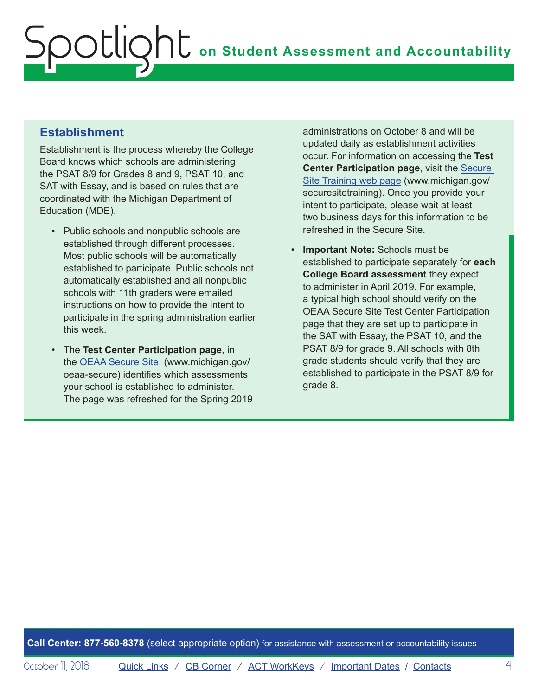#### **Establishment**

Establishment is the process whereby the College Board knows which schools are administering the PSAT 8/9 for Grades 8 and 9, PSAT 10, and SAT with Essay, and is based on rules that are coordinated with the Michigan Department of Education (MDE).

- Public schools and nonpublic schools are established through different processes. Most public schools will be automatically established to participate. Public schools not automatically established and all nonpublic schools with 11th graders were emailed instructions on how to provide the intent to participate in the spring administration earlier this week.
- The **Test Center Participation page**, in the [OEAA Secure Site,](http://www.michigan.gov/oeaa-secure) (www.michigan.gov/ oeaa-secure) identifies which assessments your school is established to administer. The page was refreshed for the Spring 2019

administrations on October 8 and will be updated daily as establishment activities occur. For information on accessing the **Test Center Participation page, visit the Secure** [Site Training web page](http://www.michigan.gov/securesitetraining) (www.michigan.gov/ securesitetraining). Once you provide your intent to participate, please wait at least two business days for this information to be refreshed in the Secure Site.

• **Important Note:** Schools must be established to participate separately for **each College Board assessment** they expect to administer in April 2019. For example, a typical high school should verify on the OEAA Secure Site Test Center Participation page that they are set up to participate in the SAT with Essay, the PSAT 10, and the PSAT 8/9 for grade 9. All schools with 8th grade students should verify that they are established to participate in the PSAT 8/9 for grade 8.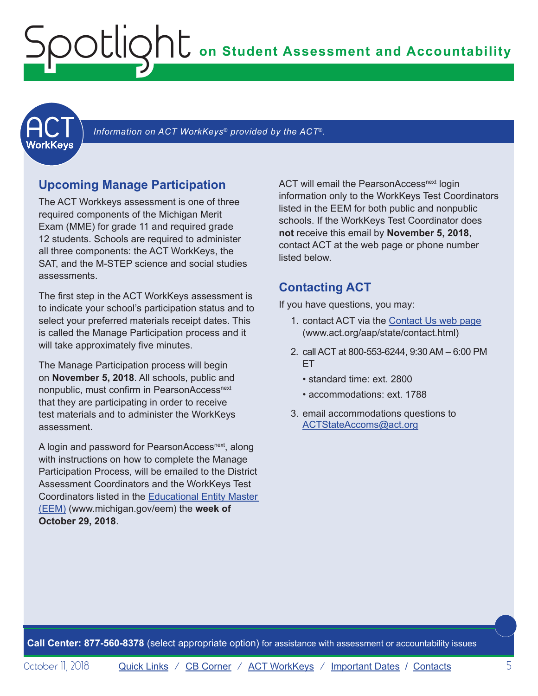# <span id="page-4-0"></span>**on Student Assessment and Accountability** Spotlight

<span id="page-4-1"></span>

 *Information on ACT WorkKeys® provided by the ACT*®*.*

#### **Upcoming Manage Participation**

The ACT Workkeys assessment is one of three required components of the Michigan Merit Exam (MME) for grade 11 and required grade 12 students. Schools are required to administer all three components: the ACT WorkKeys, the SAT, and the M-STEP science and social studies assessments.

The first step in the ACT WorkKeys assessment is to indicate your school's participation status and to select your preferred materials receipt dates. This is called the Manage Participation process and it will take approximately five minutes.

The Manage Participation process will begin on **November 5, 2018**. All schools, public and nonpublic, must confirm in PearsonAccess<sup>next</sup> that they are participating in order to receive test materials and to administer the WorkKeys assessment.

A login and password for PearsonAccess<sup>next</sup>, along with instructions on how to complete the Manage Participation Process, will be emailed to the District Assessment Coordinators and the WorkKeys Test Coordinators listed in the [Educational Entity Master](www.michigan.gov/EEM)  [\(EEM\)](www.michigan.gov/EEM) (www.michigan.gov/eem) the **week of October 29, 2018**.

ACT will email the PearsonAccess<sup>next</sup> login information only to the WorkKeys Test Coordinators listed in the EEM for both public and nonpublic schools. If the WorkKeys Test Coordinator does **not** receive this email by **November 5, 2018**, contact ACT at the web page or phone number listed below.

#### **Contacting ACT**

If you have questions, you may:

- 1. contact ACT via the [Contact Us web page](http://www.act.org/aap/state/contact.html) [\(www.act.org/aap/state/contact.html\)](www.act.org/aap/state/contact.html)
- 2. call ACT at 800-553-6244, 9:30 AM 6:00 PM ET
	- standard time: ext. 2800
	- accommodations: ext. 1788
- 3. email accommodations questions to [ACTStateAccoms@act.org](mailto:ACTStateAccoms%40act.org?subject=)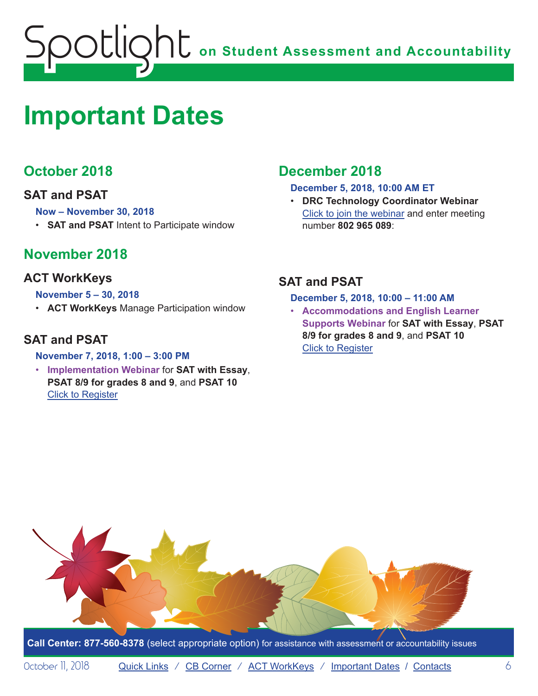<span id="page-5-0"></span>

# <span id="page-5-1"></span>**Important Dates**

## **October 2018**

#### **SAT and PSAT**

#### **Now – November 30, 2018**

• **SAT and PSAT** Intent to Participate window

## **November 2018**

#### **ACT WorkKeys**

#### **November 5 – 30, 2018**

• **ACT WorkKeys** Manage Participation window

#### **SAT and PSAT**

#### **November 7, 2018, 1:00 – 3:00 PM**

• **Implementation Webinar** for **SAT with Essay**, **PSAT 8/9 for grades 8 and 9**, and **PSAT 10** Click to Register

## **December 2018**

#### **December 5, 2018, 10:00 AM ET**

• **DRC Technology Coordinator Webinar** Click to join the webinar and enter meeting number **802 965 089**:

#### **SAT and PSAT**

#### **December 5, 2018, 10:00 – 11:00 AM**

• **Accommodations and English Learner Supports Webinar** for **SAT with Essay**, **PSAT 8/9 for grades 8 and 9**, and **PSAT 10** Click to Register